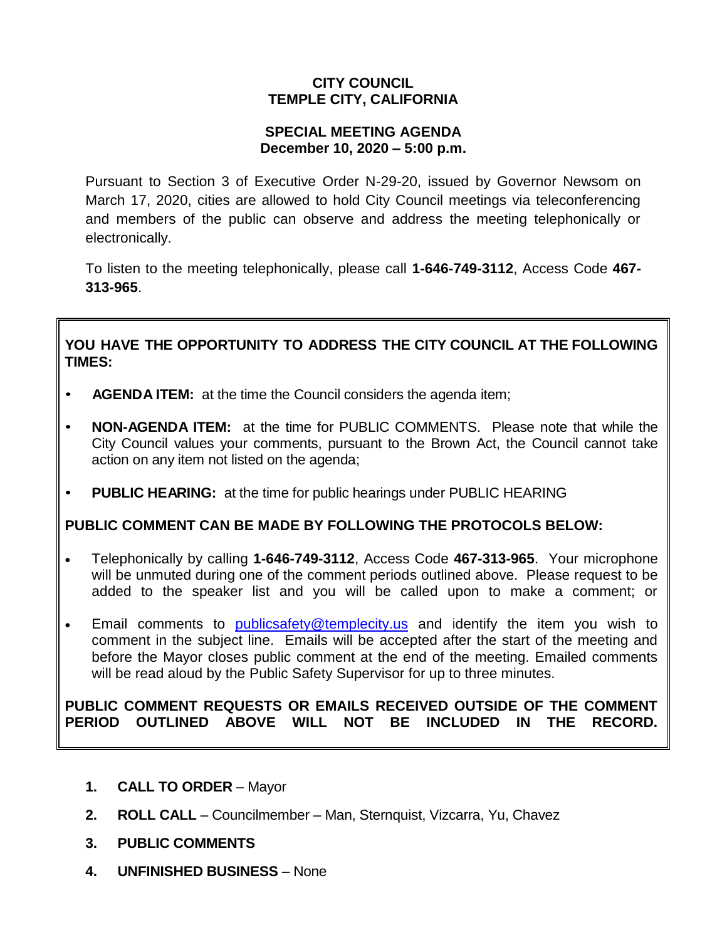## **CITY COUNCIL TEMPLE CITY, CALIFORNIA**

### **SPECIAL MEETING AGENDA December 10, 2020 – 5:00 p.m.**

Pursuant to Section 3 of Executive Order N-29-20, issued by Governor Newsom on March 17, 2020, cities are allowed to hold City Council meetings via teleconferencing and members of the public can observe and address the meeting telephonically or electronically.

To listen to the meeting telephonically, please call **1-646-749-3112**, Access Code **467- 313-965**.

## **YOU HAVE THE OPPORTUNITY TO ADDRESS THE CITY COUNCIL AT THE FOLLOWING TIMES:**

- **AGENDA ITEM:** at the time the Council considers the agenda item;
- **NON-AGENDA ITEM:** at the time for PUBLIC COMMENTS. Please note that while the City Council values your comments, pursuant to the Brown Act, the Council cannot take action on any item not listed on the agenda;
- **PUBLIC HEARING:** at the time for public hearings under PUBLIC HEARING

# **PUBLIC COMMENT CAN BE MADE BY FOLLOWING THE PROTOCOLS BELOW:**

- Telephonically by calling **1-646-749-3112**, Access Code **467-313-965**. Your microphone will be unmuted during one of the comment periods outlined above. Please request to be added to the speaker list and you will be called upon to make a comment; or
- Email comments to **[publicsafety@templecity.us](mailto:publicsafety@templecity.us)** and identify the item you wish to comment in the subject line. Emails will be accepted after the start of the meeting and before the Mayor closes public comment at the end of the meeting. Emailed comments will be read aloud by the Public Safety Supervisor for up to three minutes.

### **PUBLIC COMMENT REQUESTS OR EMAILS RECEIVED OUTSIDE OF THE COMMENT PERIOD OUTLINED ABOVE WILL NOT BE INCLUDED IN THE RECORD.**

- **1. CALL TO ORDER** Mayor
- **2. ROLL CALL** Councilmember Man, Sternquist, Vizcarra, Yu, Chavez
- **3. PUBLIC COMMENTS**
- **4. UNFINISHED BUSINESS** None